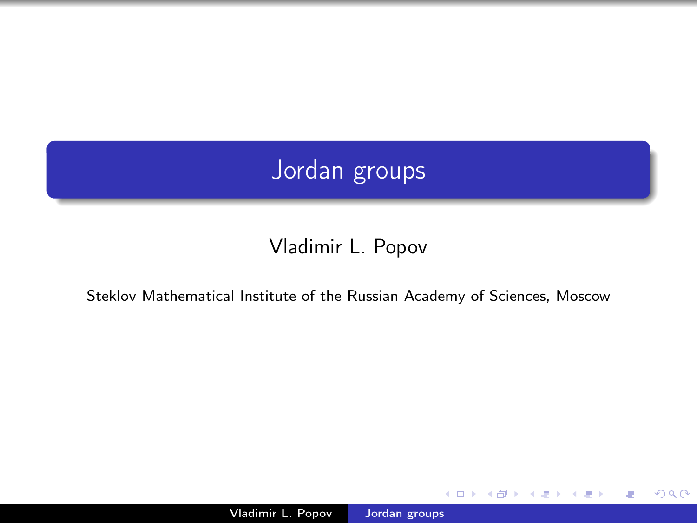# Jordan groups

## Vladimir L. Popov

#### Steklov Mathematical Institute of the Russian Academy of Sciences, Moscow

 $\sim$  m

<span id="page-0-0"></span>つくへ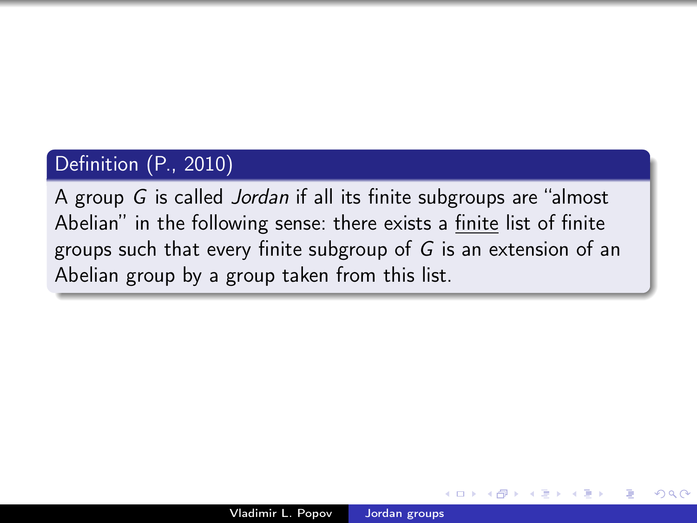## Definition (P., 2010)

A group G is called Jordan if all its finite subgroups are "almost Abelian" in the following sense: there exists a finite list of finite groups such that every finite subgroup of G is an extension of an Abelian group by a group taken from this list.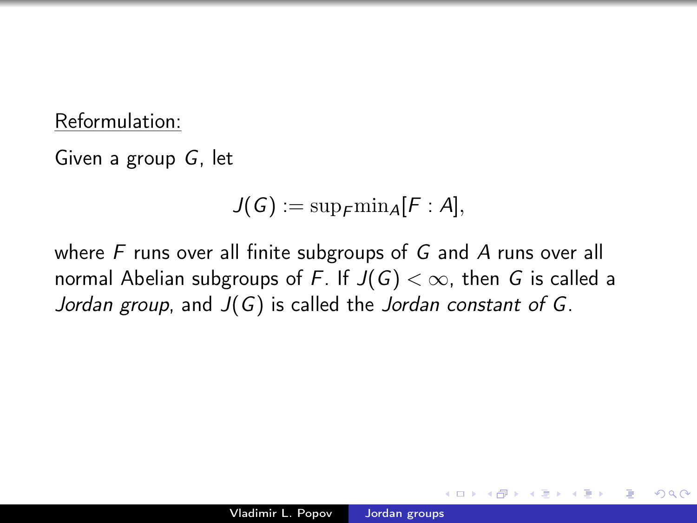### Reformulation:

Given a group G, let

$$
J(G):=\mathrm{sup}_{F}\mathrm{min}_{A}[F:A],
$$

where F runs over all finite subgroups of G and A runs over all normal Abelian subgroups of F. If  $J(G) < \infty$ , then G is called a Jordan group, and  $J(G)$  is called the Jordan constant of G.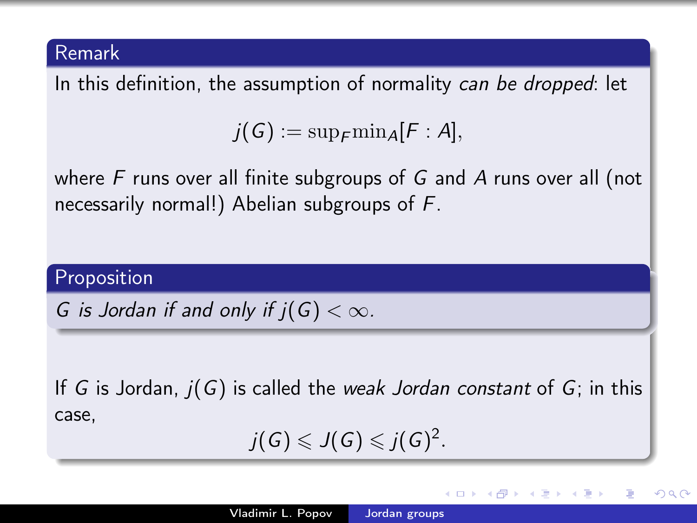#### Remark

In this definition, the assumption of normality can be dropped: let

 $j(G) := \sup_{\mathbf{\epsilon}} \min_{\mathbf{\Delta}} [\mathbf{\epsilon} : A],$ 

where  $F$  runs over all finite subgroups of  $G$  and  $A$  runs over all (not necessarily normal!) Abelian subgroups of F.

#### Proposition

G is Jordan if and only if  $j(G) < \infty$ .

If G is Jordan,  $j(G)$  is called the weak Jordan constant of G; in this case,

$$
j(G)\leqslant J(G)\leqslant j(G)^2.
$$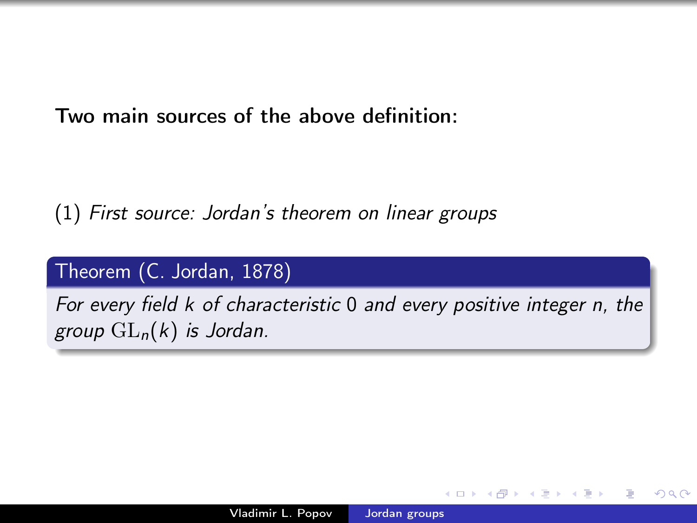Two main sources of the above definition:

(1) First source: Jordan's theorem on linear groups

### Theorem (C. Jordan, 1878)

For every field k of characteristic 0 and every positive integer n, the group  $GL_n(k)$  is Jordan.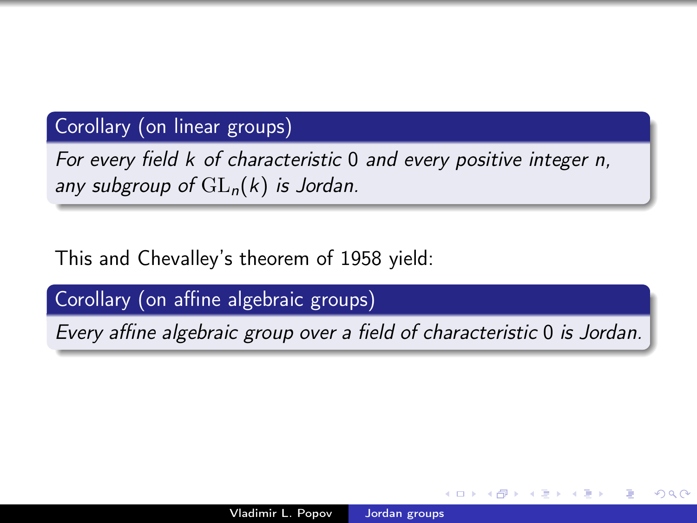## Corollary (on linear groups)

For every field k of characteristic 0 and every positive integer n, any subgroup of  $GL_n(k)$  is Jordan.

This and Chevalley's theorem of 1958 yield:

Corollary (on affine algebraic groups)

Every affine algebraic group over a field of characteristic 0 is Jordan.

つくへ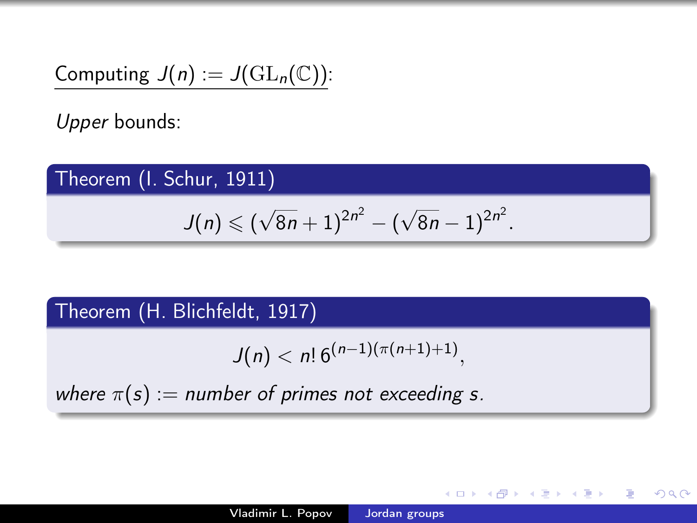Computing 
$$
J(n) := J(\mathrm{GL}_n(\mathbb{C}))
$$
:

Upper bounds:

## Theorem (I. Schur, 1911)

$$
J(n) \leqslant (\sqrt{8n} + 1)^{2n^2} - (\sqrt{8n} - 1)^{2n^2}.
$$

## Theorem (H. Blichfeldt, 1917)

$$
J(n) < n! \, 6^{(n-1)(\pi(n+1)+1)},
$$

where  $\pi(s) :=$  number of primes not exceeding s.

a mills

→ 何 ▶ → 重 ▶

 $299$ 

э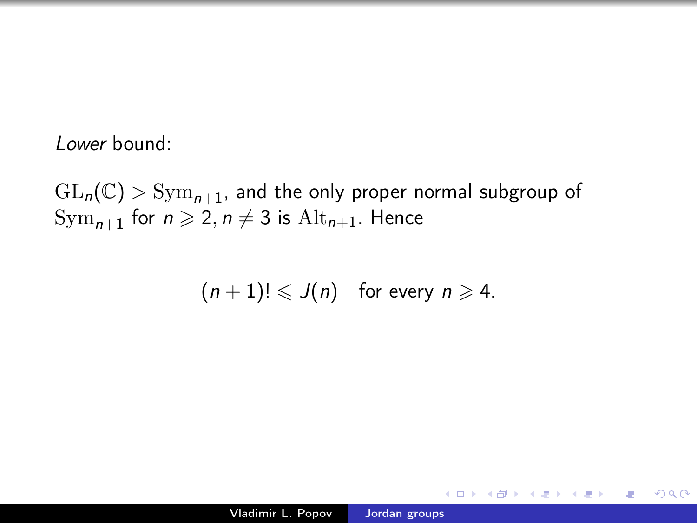#### Lower bound:

 $GL_n(\mathbb{C})$  >  $Sym_{n+1}$ , and the only proper normal subgroup of  $Sym_{n+1}$  for  $n \geqslant 2, n \neq 3$  is  $Alt_{n+1}$ . Hence

$$
(n+1)! \leqslant J(n) \quad \text{for every } n \geqslant 4.
$$

 $2990$ 

∍

おうす 語 お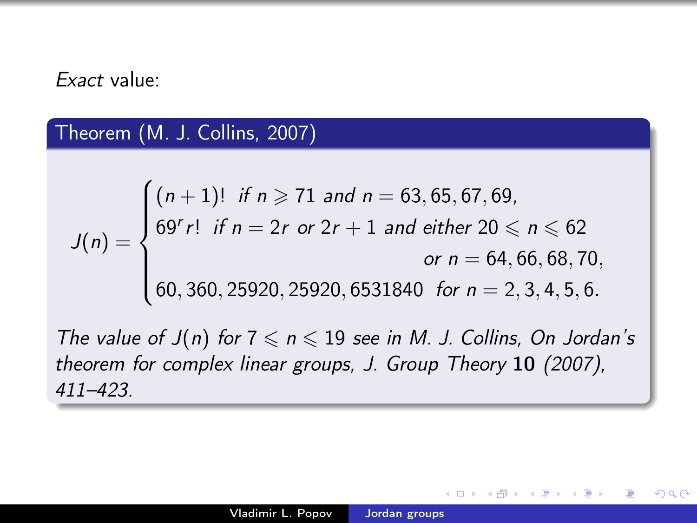#### Exact value:

### Theorem (M. J. Collins, 2007)

$$
J(n) = \begin{cases} (n+1)! & \text{if } n \ge 71 \text{ and } n = 63,65,67,69, \\ 69^{r}r! & \text{if } n = 2r \text{ or } 2r + 1 \text{ and either } 20 \le n \le 62 \\ & \text{or } n = 64,66,68,70, \\ 60,360,25920,25920,6531840 & \text{for } n = 2,3,4,5,6. \end{cases}
$$

The value of  $J(n)$  for  $7 \le n \le 19$  see in M. J. Collins, On Jordan's theorem for complex linear groups, J. Group Theory 10 (2007), 411–423.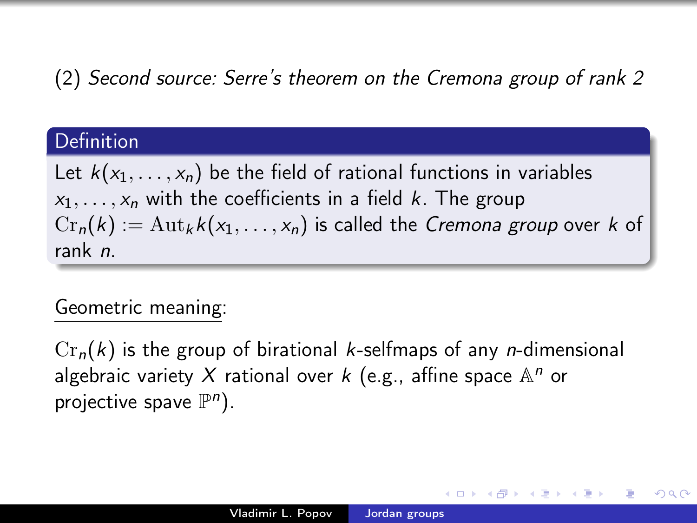## (2) Second source: Serre's theorem on the Cremona group of rank 2

## Definition

Let  $k(x_1, \ldots, x_n)$  be the field of rational functions in variables  $x_1, \ldots, x_n$  with the coefficients in a field k. The group  $Cr_n(k) := \text{Aut}_k k(x_1, \ldots, x_n)$  is called the *Cremona group* over k of rank n.

## Geometric meaning:

 $Cr_n(k)$  is the group of birational k-selfmaps of any *n*-dimensional algebraic variety X rational over  $k$  (e.g., affine space  $\mathbb{A}^n$  or projective spave  $\mathbb{P}^n$ ).

つくへ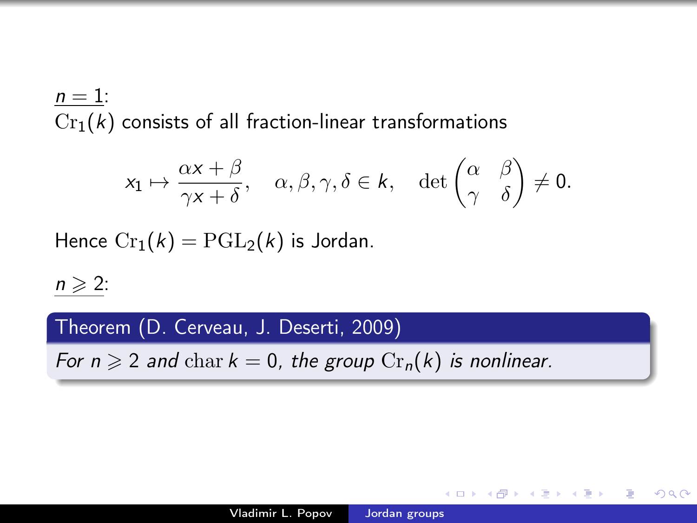$n=1$ :  $Cr_1(k)$  consists of all fraction-linear transformations

$$
x_1 \mapsto \frac{\alpha x + \beta}{\gamma x + \delta}, \quad \alpha, \beta, \gamma, \delta \in k, \quad \det \begin{pmatrix} \alpha & \beta \\ \gamma & \delta \end{pmatrix} \neq 0.
$$

Hence  $Cr_1(k) = PGL_2(k)$  is Jordan.

 $n \geqslant 2$ :

Theorem (D. Cerveau, J. Deserti, 2009)

For  $n \geqslant 2$  and char  $k = 0$ , the group  $\text{Cr}_n(k)$  is nonlinear.

 $\mathbf{A} \oplus \mathbf{B}$   $\mathbf{B}$   $\mathbf{A} \oplus \mathbf{B}$   $\mathbf{B}$ 

э

 $\Omega$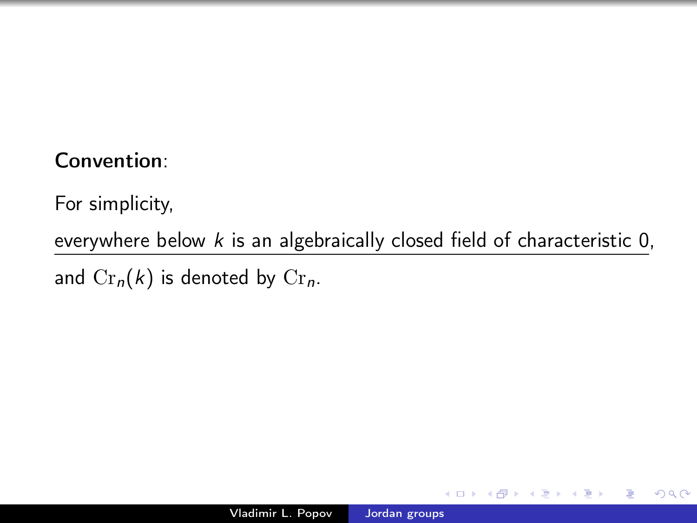## Convention:

For simplicity,

everywhere below  $k$  is an algebraically closed field of characteristic  $0$ ,

and  $Cr_n(k)$  is denoted by  $Cr_n$ .

 $299$ 

∍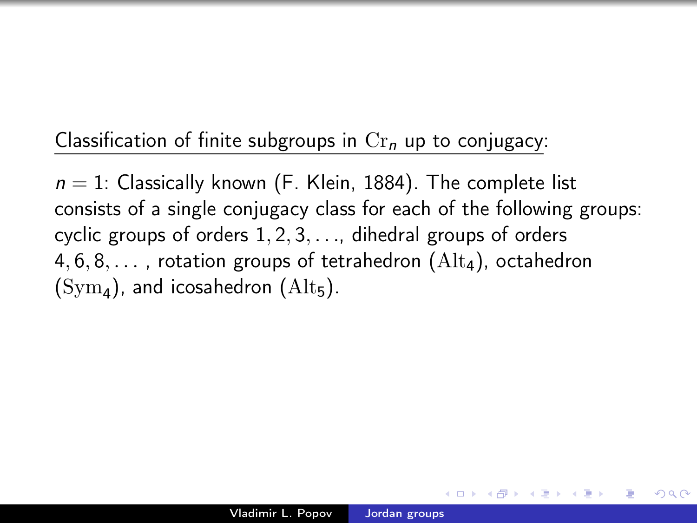## Classification of finite subgroups in  $Cr_n$  up to conjugacy:

 $n = 1$ : Classically known (F. Klein, 1884). The complete list consists of a single conjugacy class for each of the following groups: cyclic groups of orders  $1, 2, 3, \ldots$ , dihedral groups of orders 4,  $6, 8, \ldots$ , rotation groups of tetrahedron (Alt<sub>4</sub>), octahedron  $(\text{Sym}_4)$ , and icosahedron  $(\text{Alt}_5)$ .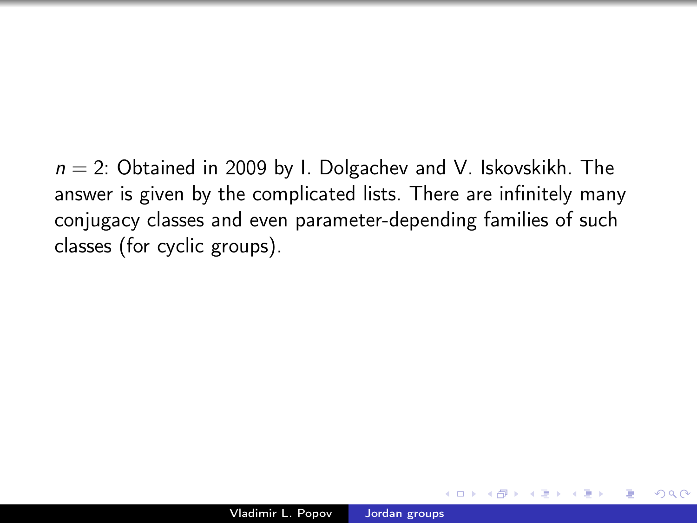$n = 2$ : Obtained in 2009 by I. Dolgachev and V. Iskovskikh. The answer is given by the complicated lists. There are infinitely many conjugacy classes and even parameter-depending families of such classes (for cyclic groups).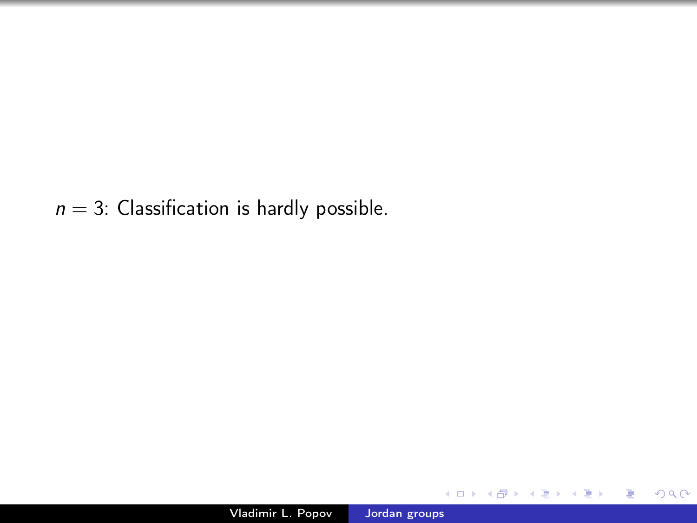$n = 3$ : Classification is hardly possible.

4日)

同  $\sim$ Ξ

×

×

目

∍

-b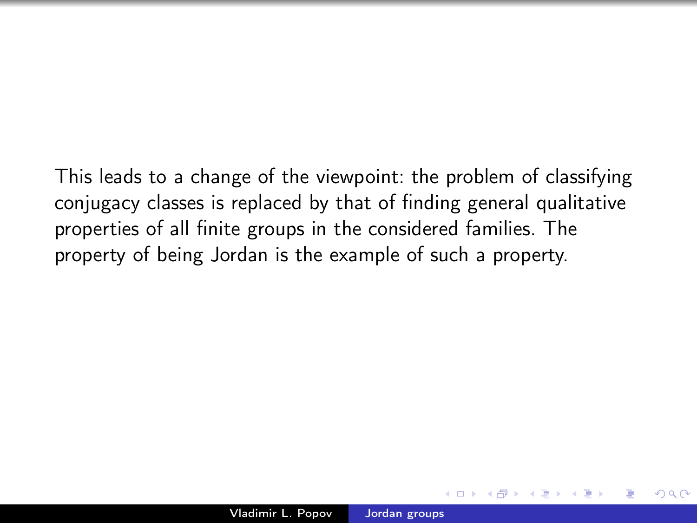This leads to a change of the viewpoint: the problem of classifying conjugacy classes is replaced by that of finding general qualitative properties of all finite groups in the considered families. The property of being Jordan is the example of such a property.

 $\Omega$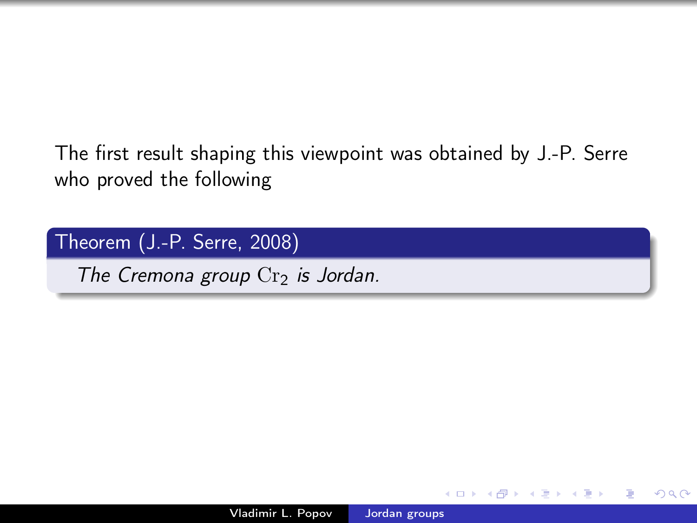The first result shaping this viewpoint was obtained by J.-P. Serre who proved the following

Theorem (J.-P. Serre, 2008)

The Cremona group  $Cr<sub>2</sub>$  is Jordan.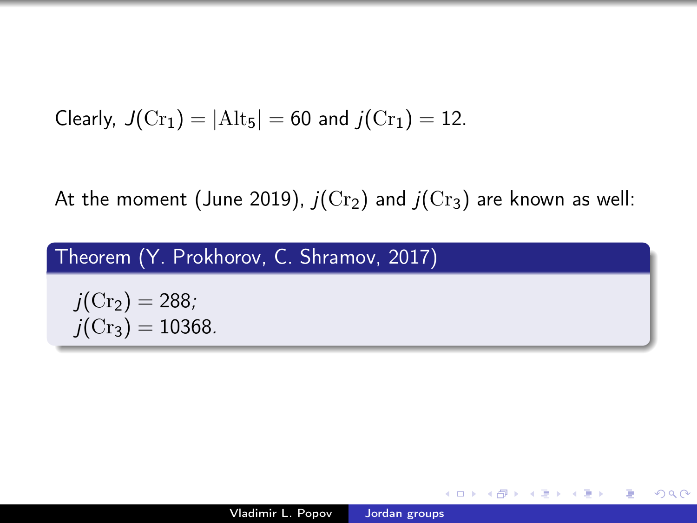Clearly,  $J(\text{Cr}_1) = |\text{Alt}_5| = 60$  and  $j(\text{Cr}_1) = 12$ .

At the moment (June 2019),  $j(\text{Cr}_2)$  and  $j(\text{Cr}_3)$  are known as well:

|  |  | Theorem (Y. Prokhorov, C. Shramov, 2017) |  |  |  |
|--|--|------------------------------------------|--|--|--|
|--|--|------------------------------------------|--|--|--|

$$
j(\mathrm{Cr}_2)=288;
$$
  

$$
j(\mathrm{Cr}_3)=10368.
$$

す 伊 メ す ま メー

 $\overline{a}$ 

 $299$ 

∍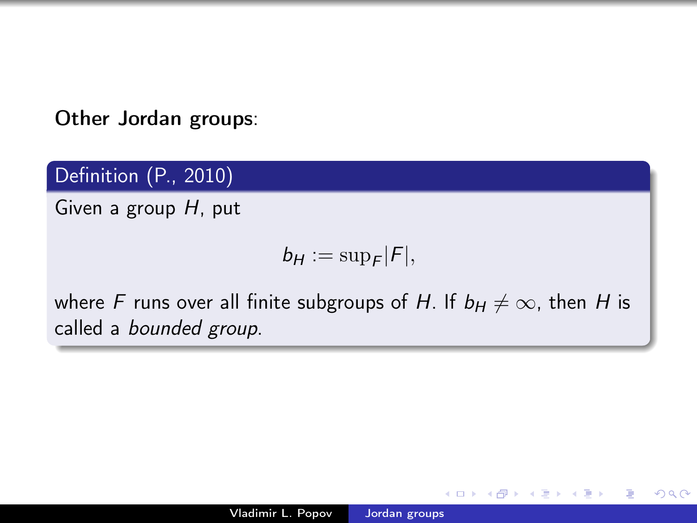Other Jordan groups:

Definition (P., 2010)

Given a group H, put

$$
b_H:=\sup_F|F|,
$$

where F runs over all finite subgroups of H. If  $b_H \neq \infty$ , then H is called a bounded group.

 $\Omega$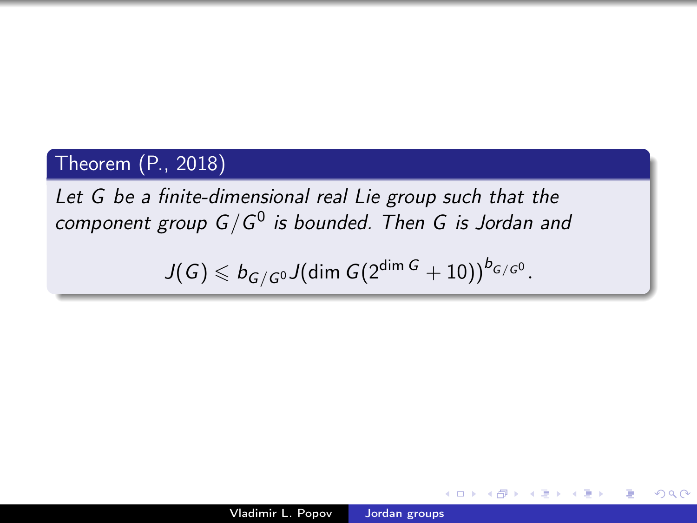### Theorem (P., 2018)

Let G be a finite-dimensional real Lie group such that the component group  $G/G^0$  is bounded. Then G is Jordan and

 $J(\mathit{G}) \leqslant b_{\mathit{G/G^0}} J(\text{dim } \mathit{G} (2^{\dim \mathit{G}} + 10))^{b_{\mathit{G/G^0}}}.$ 

 $\equiv$ 

Box 11

 $QQ$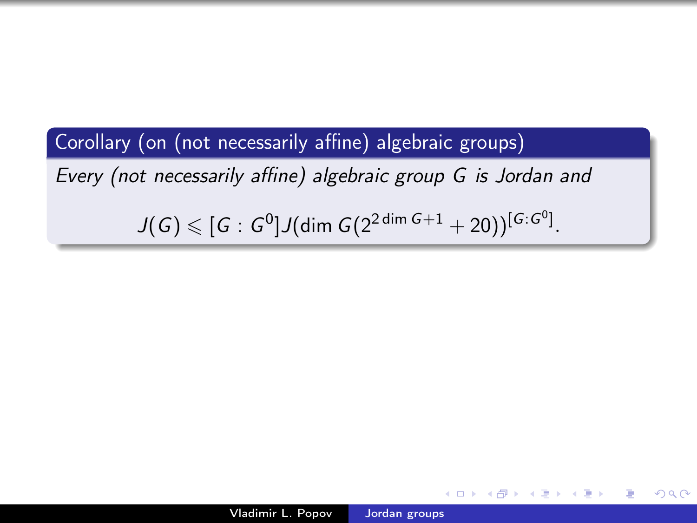Corollary (on (not necessarily affine) algebraic groups) Every (not necessarily affine) algebraic group G is Jordan and  $J(\,G) \leqslant [\,G : G^{0} ] J(\text{dim } G(2^{2\dim{G}+1}+20) )^{[G:G^{0}]} .$ 

 $\equiv$ 

 $200$ 

④何 > ④ 目 → ④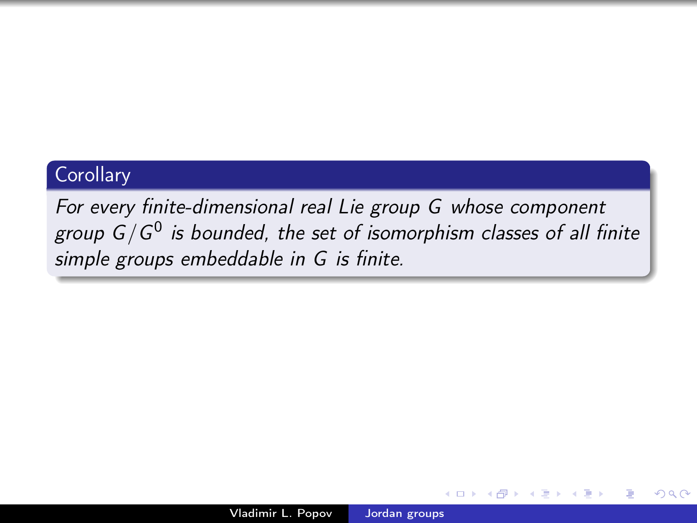## **Corollary**

For every finite-dimensional real Lie group G whose component group G/G $^0$  is bounded, the set of isomorphism classes of all finite simple groups embeddable in G is finite.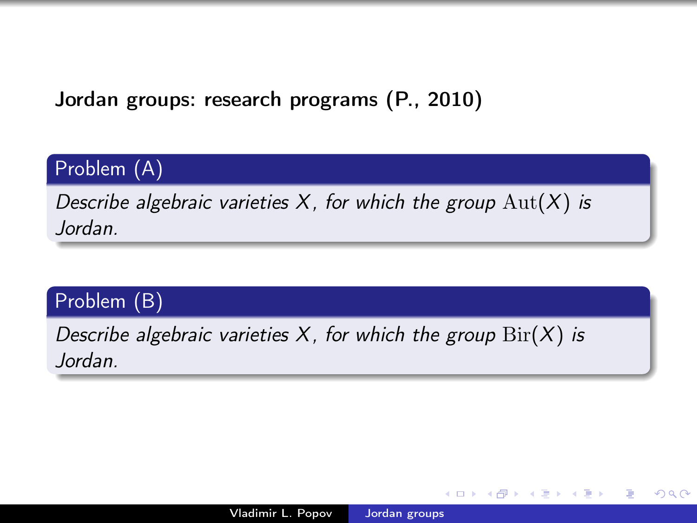Jordan groups: research programs (P., 2010)

## Problem (A)

Describe algebraic varieties  $X$ , for which the group  $\text{Aut}(X)$  is Jordan.

## Problem (B)

Describe algebraic varieties X, for which the group  $\text{Bir}(X)$  is Jordan.

**母 → → ヨ**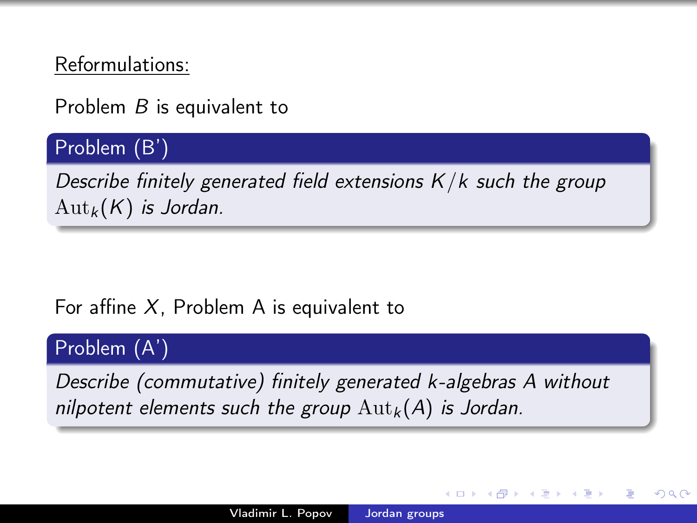Reformulations:

Problem B is equivalent to

### Problem (B')

Describe finitely generated field extensions  $K/k$  such the group  $\mathrm{Aut}_k(K)$  is Jordan.

### For affine  $X$ , Problem A is equivalent to

#### Problem (A')

Describe (commutative) finitely generated k-algebras A without nilpotent elements such the group  ${\rm Aut}_k(A)$  is Jordan.

つくへ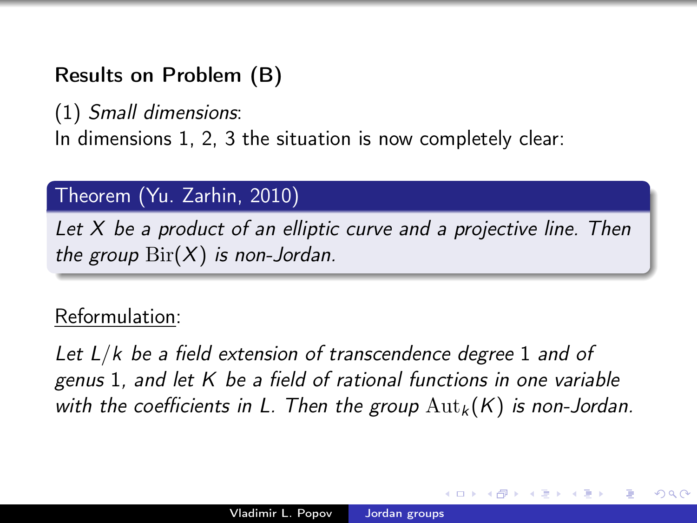## Results on Problem (B)

(1) Small dimensions: In dimensions 1, 2, 3 the situation is now completely clear:

## Theorem (Yu. Zarhin, 2010)

Let X be a product of an elliptic curve and a projective line. Then the group  $\text{Bir}(X)$  is non-Jordan.

## Reformulation:

Let  $L/k$  be a field extension of transcendence degree 1 and of genus 1, and let K be a field of rational functions in one variable with the coefficients in L. Then the group  ${\rm Aut}_k(K)$  is non-Jordan.

 $\Omega$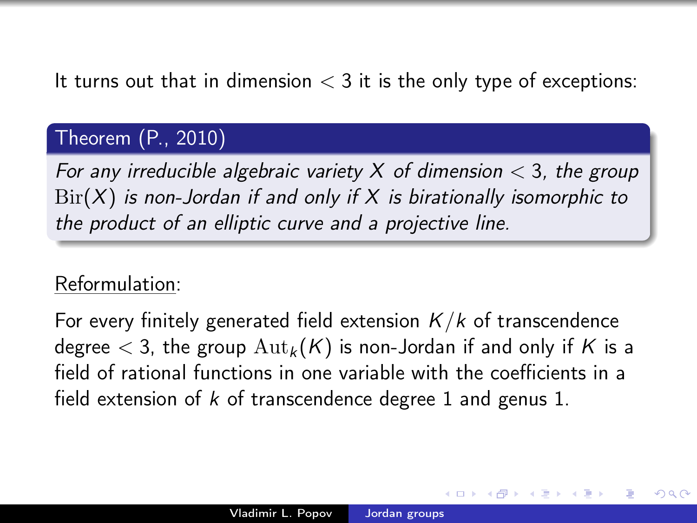### It turns out that in dimension  $<$  3 it is the only type of exceptions:

### Theorem (P., 2010)

For any irreducible algebraic variety X of dimension  $<$  3, the group  $\text{Bir}(X)$  is non-Jordan if and only if X is birationally isomorphic to the product of an elliptic curve and a projective line.

## Reformulation:

For every finitely generated field extension  $K/k$  of transcendence degree  $<$  3, the group  ${\rm Aut}_k(K)$  is non-Jordan if and only if K is a field of rational functions in one variable with the coefficients in a field extension of  $k$  of transcendence degree 1 and genus 1.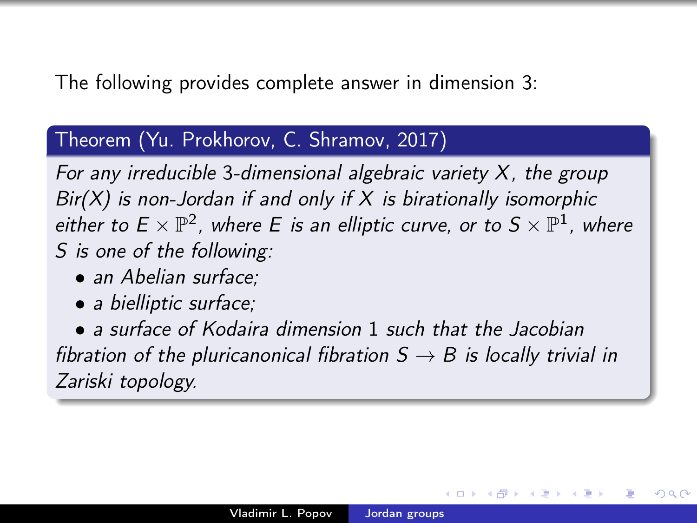### The following provides complete answer in dimension 3:

#### Theorem (Yu. Prokhorov, C. Shramov, 2017)

For any irreducible 3-dimensional algebraic variety  $X$ , the group  $Bir(X)$  is non-Jordan if and only if X is birationally isomorphic either to  $E\times \mathbb{P}^2$ , where E is an elliptic curve, or to  $S\times \mathbb{P}^1$ , where S is one of the following:

- an Abelian surface:
- a bielliptic surface;

• a surface of Kodaira dimension 1 such that the Jacobian fibration of the pluricanonical fibration  $S \rightarrow B$  is locally trivial in Zariski topology.

ഹൈ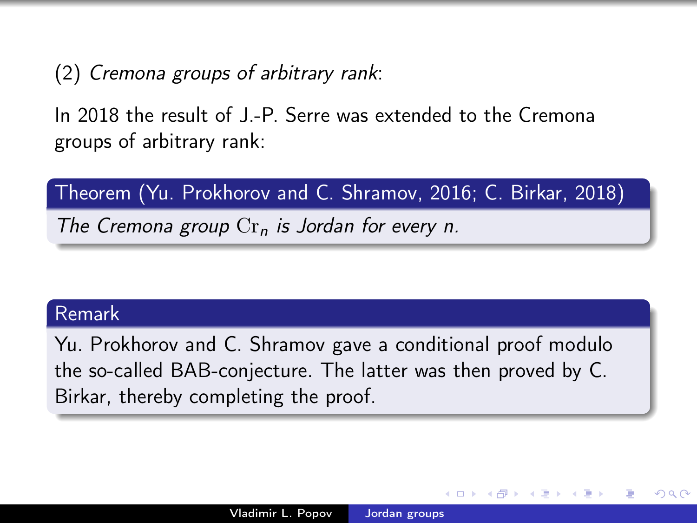(2) Cremona groups of arbitrary rank:

In 2018 the result of J.-P. Serre was extended to the Cremona groups of arbitrary rank:

Theorem (Yu. Prokhorov and C. Shramov, 2016; C. Birkar, 2018)

The Cremona group  $\mathrm{Cr}_n$  is Jordan for every n.

#### Remark

Yu. Prokhorov and C. Shramov gave a conditional proof modulo the so-called BAB-conjecture. The latter was then proved by C. Birkar, thereby completing the proof.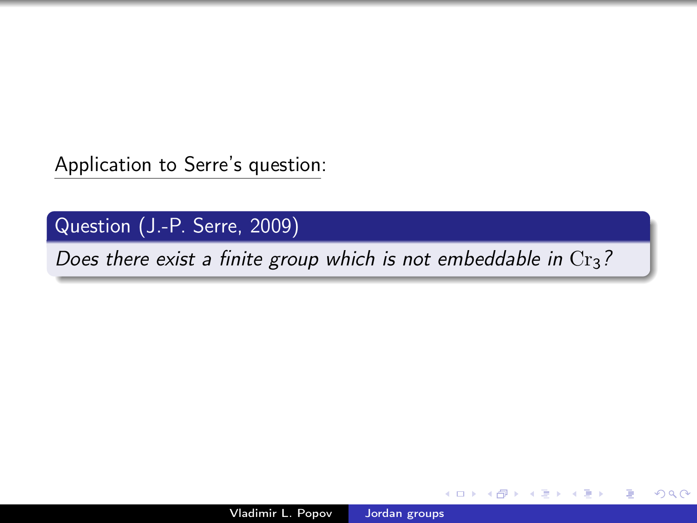Application to Serre's question:

Question (J.-P. Serre, 2009)

Does there exist a finite group which is not embeddable in  $Cr<sub>3</sub>$ ?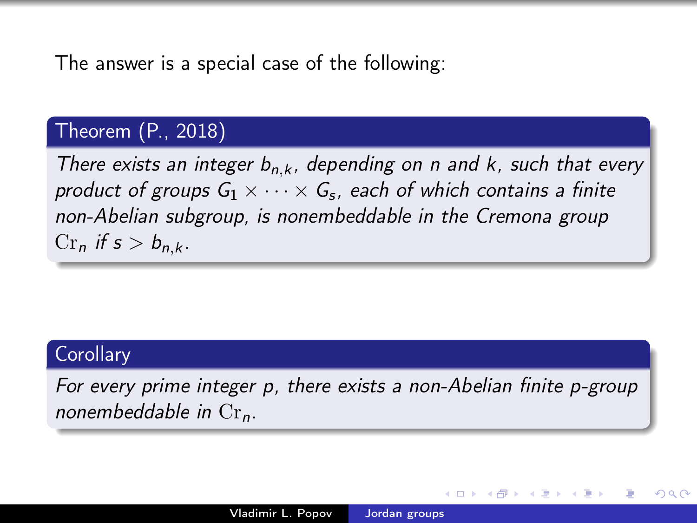The answer is a special case of the following:

### Theorem (P., 2018)

There exists an integer  $b_{n,k}$ , depending on n and k, such that every product of groups  $\mathsf{G}_1 \times \cdots \times \mathsf{G}_{\mathsf{s}}$ , each of which contains a finite non-Abelian subgroup, is nonembeddable in the Cremona group  $Cr_n$  if  $s > b_{n,k}$ .

### **Corollary**

For every prime integer p, there exists a non-Abelian finite p-group nonembeddable in  $Cr_n$ .

つくへ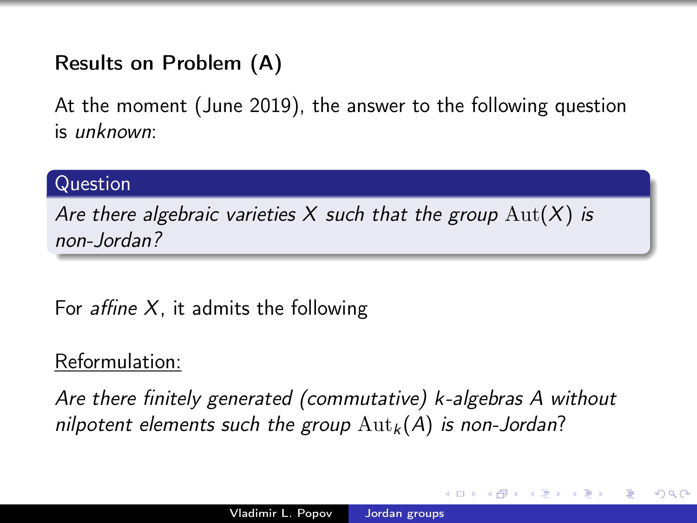## Results on Problem (A)

At the moment (June 2019), the answer to the following question is unknown:

### Question

Are there algebraic varieties X such that the group  $\text{Aut}(X)$  is non-Jordan?

For *affine*  $X$ , it admits the following

## Reformulation:

Are there finitely generated (commutative) k-algebras A without nilpotent elements such the group  ${\rm Aut}_k(A)$  is non-Jordan?

 $\Omega$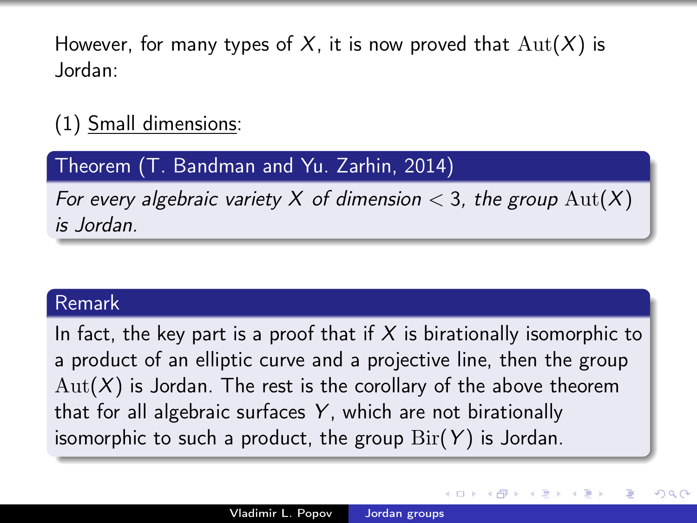However, for many types of X, it is now proved that  $\text{Aut}(X)$  is Jordan:

## (1) Small dimensions:

### Theorem (T. Bandman and Yu. Zarhin, 2014)

For every algebraic variety X of dimension  $<$  3, the group  $\text{Aut}(X)$ is Jordan.

#### Remark

In fact, the key part is a proof that if  $X$  is birationally isomorphic to a product of an elliptic curve and a projective line, then the group  $Aut(X)$  is Jordan. The rest is the corollary of the above theorem that for all algebraic surfaces  $Y$ , which are not birationally isomorphic to such a product, the group  $\text{Bir}(Y)$  is Jordan.

つくへ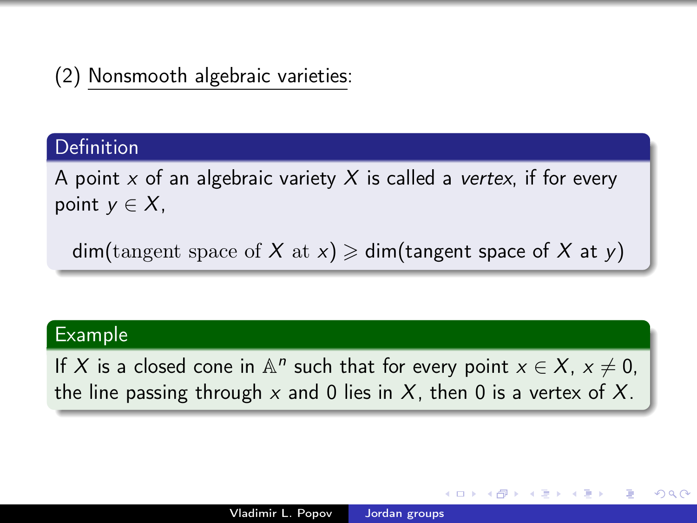## (2) Nonsmooth algebraic varieties:

#### Definition

A point x of an algebraic variety X is called a vertex, if for every point  $y \in X$ ,

 $dim(tangent space of X at x) \geq dim(tangent space of X at y)$ 

#### Example

If X is a closed cone in  $\mathbb{A}^n$  such that for every point  $x \in X$ ,  $x \neq 0$ , the line passing through x and 0 lies in X, then 0 is a vertex of X.

つくへ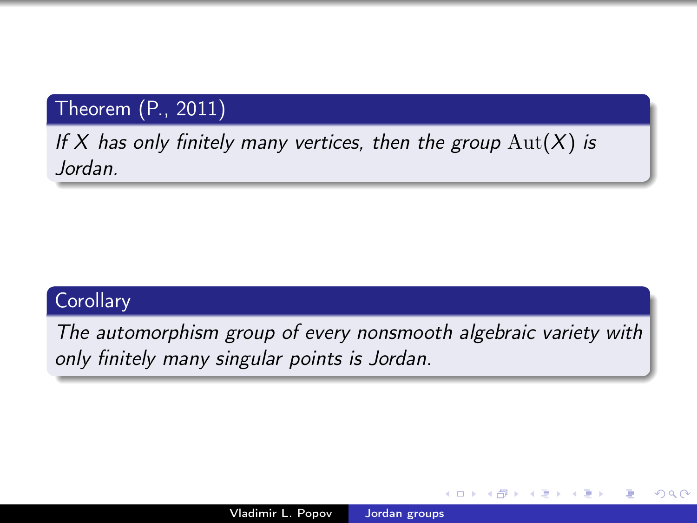## Theorem (P., 2011)

## If X has only finitely many vertices, then the group  $Aut(X)$  is Jordan.

## **Corollary**

The automorphism group of every nonsmooth algebraic variety with only finitely many singular points is Jordan.

 $QQ$ 

④ → → 三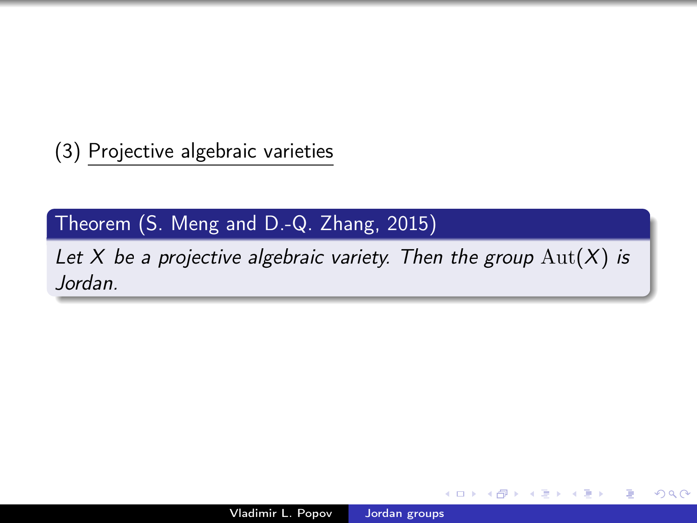(3) Projective algebraic varieties

## Theorem (S. Meng and D.-Q. Zhang, 2015)

Let X be a projective algebraic variety. Then the group  $Aut(X)$  is Jordan.

**母 → → ヨ** 

∍

 $\Omega$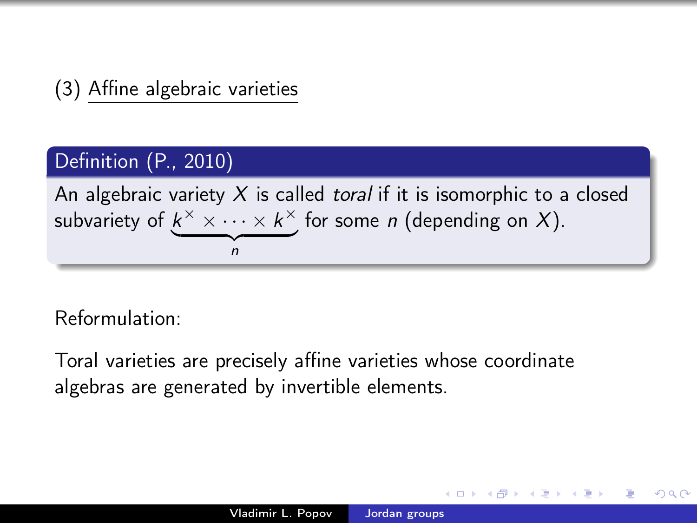## (3) Affine algebraic varieties

### Definition (P., 2010)

An algebraic variety  $X$  is called *toral* if it is isomorphic to a closed subvariety of  $k^{\times}\times\cdots\times k^{\times}$  for some n (depending on X).  $\gamma$   $\gamma$ n

## Reformulation:

Toral varieties are precisely affine varieties whose coordinate algebras are generated by invertible elements.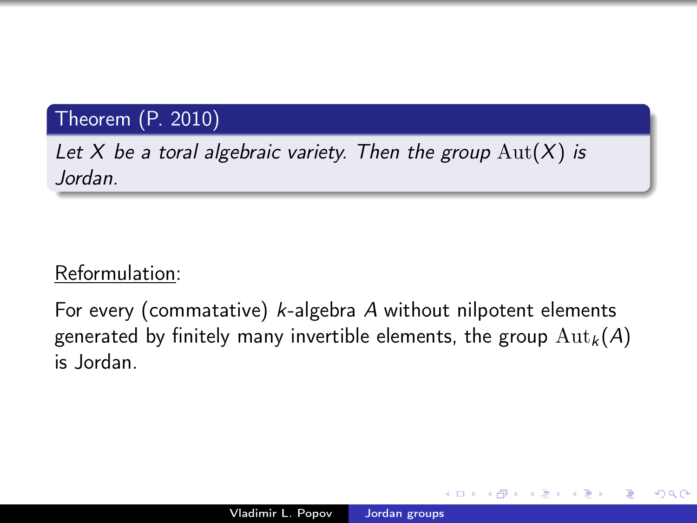## Theorem (P. 2010)

Let X be a toral algebraic variety. Then the group  $\text{Aut}(X)$  is Jordan.

## Reformulation:

For every (commatative) k-algebra A without nilpotent elements generated by finitely many invertible elements, the group  ${\rm Aut}_k(A)$ is Jordan.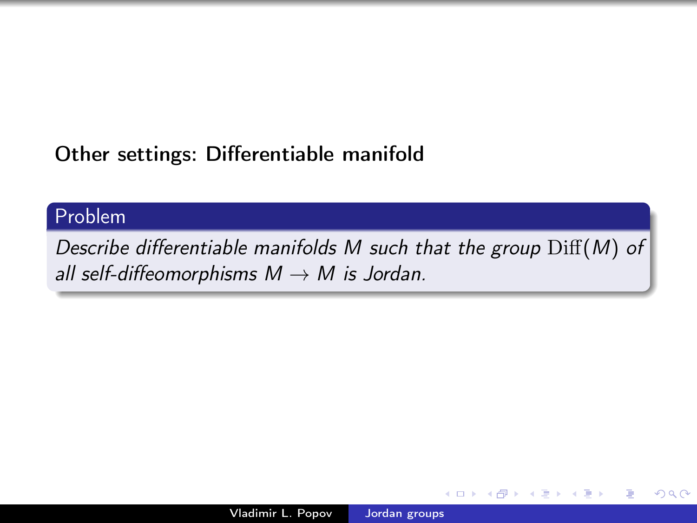## Other settings: Differentiable manifold

### Problem

Describe differentiable manifolds M such that the group  $\mathrm{Diff}(M)$  of all self-diffeomorphisms  $M \rightarrow M$  is Jordan.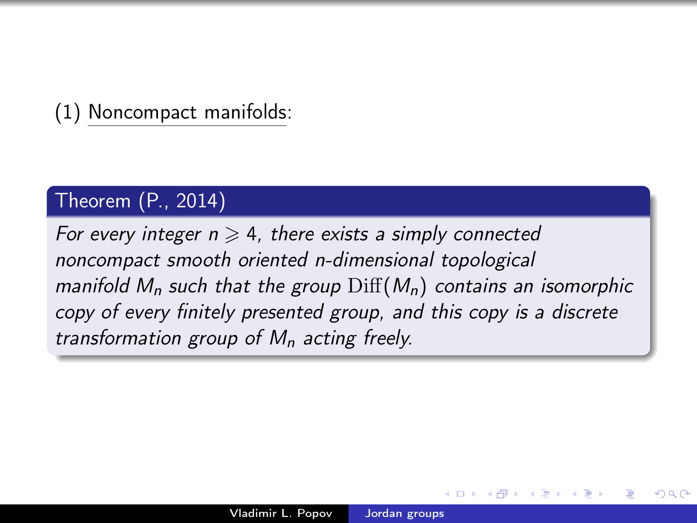(1) Noncompact manifolds:

#### Theorem (P., 2014)

For every integer  $n \geq 4$ , there exists a simply connected noncompact smooth oriented n-dimensional topological manifold  $M_n$  such that the group  $\text{Diff}(M_n)$  contains an isomorphic copy of every finitely presented group, and this copy is a discrete transformation group of  $M_n$  acting freely.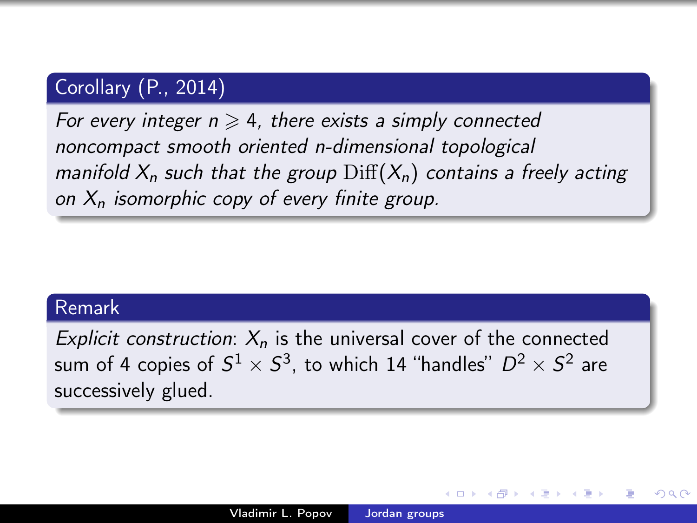## Corollary (P., 2014)

For every integer  $n \geq 4$ , there exists a simply connected noncompact smooth oriented n-dimensional topological manifold  $X_n$  such that the group  $\text{Diff}(X_n)$  contains a freely acting on  $X_n$  isomorphic copy of every finite group.

#### Remark

Explicit construction:  $X_n$  is the universal cover of the connected sum of 4 copies of  $S^1\times S^3$ , to which 14 "handles"  $D^2\times S^2$  are successively glued.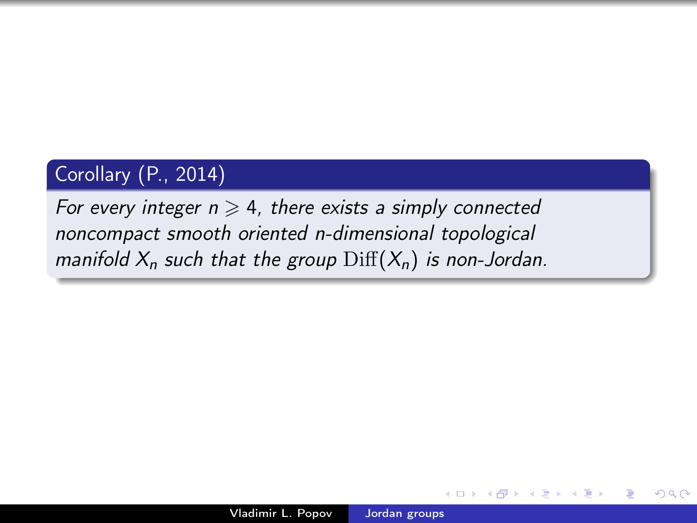## Corollary (P., 2014)

For every integer  $n \geq 4$ , there exists a simply connected noncompact smooth oriented n-dimensional topological manifold  $X_n$  such that the group  $\text{Diff}(X_n)$  is non-Jordan.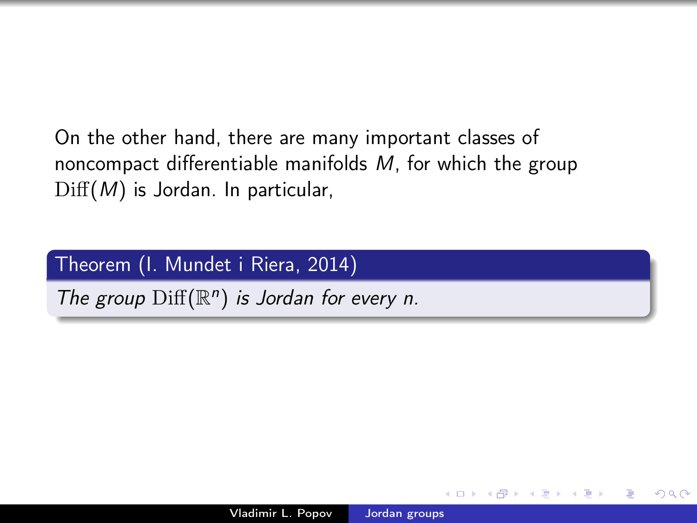On the other hand, there are many important classes of noncompact differentiable manifolds M, for which the group  $Diff(M)$  is Jordan. In particular,

### Theorem (I. Mundet i Riera, 2014)

The group  $\mathrm{Diff}(\mathbb{R}^n)$  is Jordan for every n.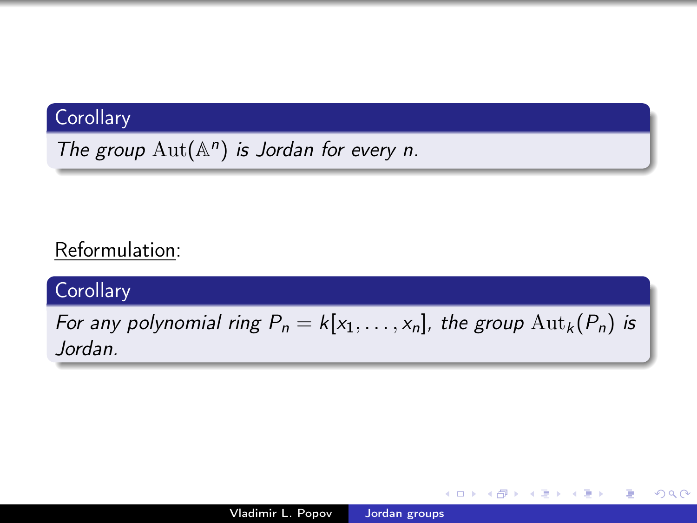## **Corollary**

The group  $\text{Aut}(\mathbb{A}^n)$  is Jordan for every n.

## Reformulation:

### **Corollary**

For any polynomial ring  $P_n = k[x_1, \ldots, x_n]$ , the group  ${\rm Aut}_k(P_n)$  is Jordan.

 $\sim$   $\sim$ 

→ 伊 ▶ → 手

Þ

 $\rightarrow$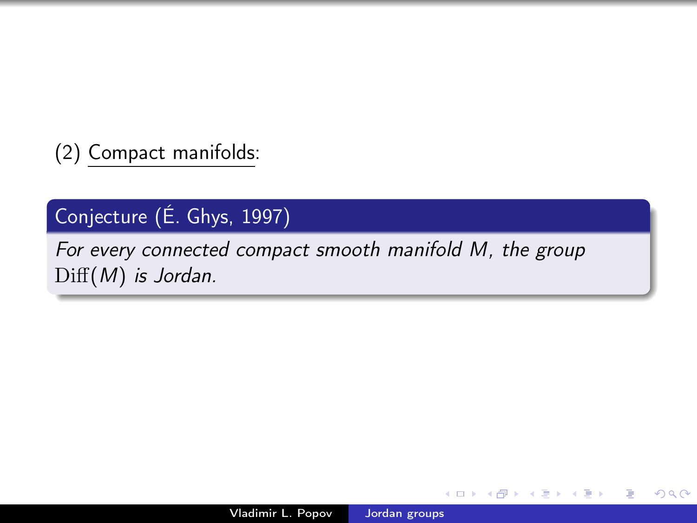(2) Compact manifolds:

## Conjecture (É. Ghys, 1997)

For every connected compact smooth manifold M, the group Diff(M) is Jordan.

 $QQ$ 

э

 $\mathbf{F}=\mathbf{A}$ э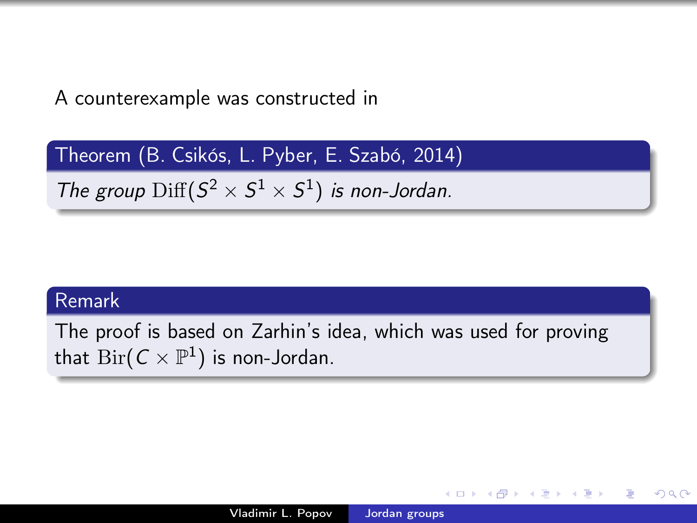A counterexample was constructed in

Theorem (B. Csikós, L. Pyber, E. Szabó, 2014)

The group  $\mathrm{Diff}(S^2 \times S^1 \times S^1)$  is non-Jordan.

#### Remark

The proof is based on Zarhin's idea, which was used for proving that  ${\rm Bir}({\cal C} \times {\mathbb P}^1)$  is non-Jordan.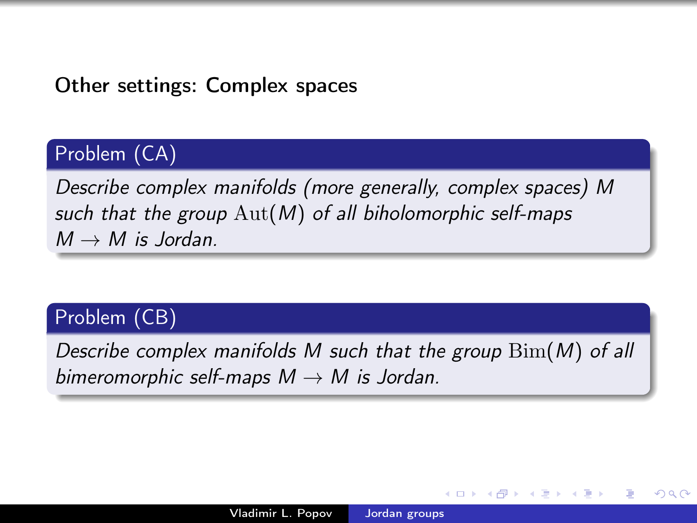## Other settings: Complex spaces

## Problem (CA)

Describe complex manifolds (more generally, complex spaces) M such that the group  $Aut(M)$  of all biholomorphic self-maps  $M \rightarrow M$  is Jordan.

#### Problem (CB)

Describe complex manifolds M such that the group  $\text{Bim}(M)$  of all bimeromorphic self-maps  $M \rightarrow M$  is Jordan.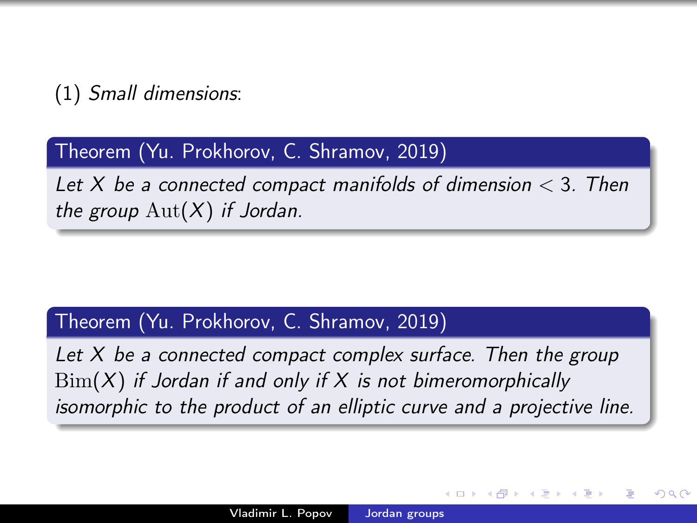(1) Small dimensions:

Theorem (Yu. Prokhorov, C. Shramov, 2019)

Let X be a connected compact manifolds of dimension  $<$  3. Then the group  $\text{Aut}(X)$  if Jordan.

#### Theorem (Yu. Prokhorov, C. Shramov, 2019)

Let X be a connected compact complex surface. Then the group  $\text{Bim}(X)$  if Jordan if and only if X is not bimeromorphically isomorphic to the product of an elliptic curve and a projective line.

 $\Omega$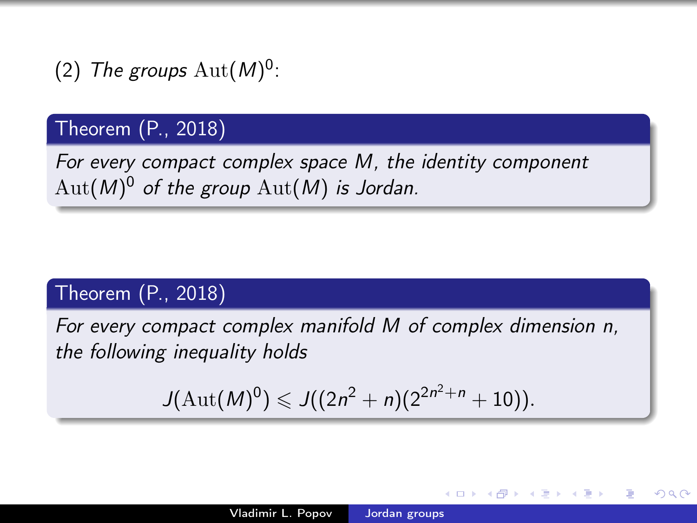(2) The groups  $\mathrm{Aut}(M)^0$ :

## Theorem (P., 2018)

For every compact complex space M, the identity component  $\mathrm{Aut}(M)^0$  of the group  $\mathrm{Aut}(M)$  is Jordan.

### Theorem (P., 2018)

For every compact complex manifold M of complex dimension n, the following inequality holds

$$
J(\mathrm{Aut}(M)^0) \leqslant J((2n^2+n)(2^{2n^2+n}+10)).
$$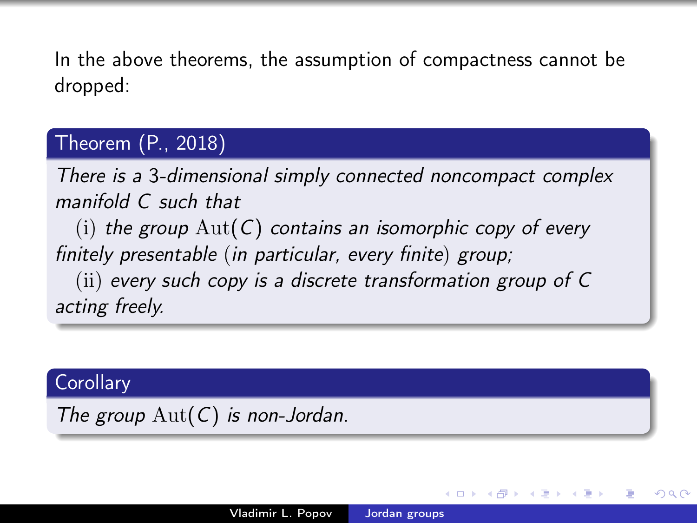In the above theorems, the assumption of compactness cannot be dropped:

## Theorem (P., 2018)

There is a 3-dimensional simply connected noncompact complex manifold C such that

(i) the group  $Aut(C)$  contains an isomorphic copy of every finitely presentable (in particular, every finite) group;

(ii) every such copy is a discrete transformation group of C acting freely.

#### **Corollary**

The group  $\text{Aut}(C)$  is non-Jordan.

つくへ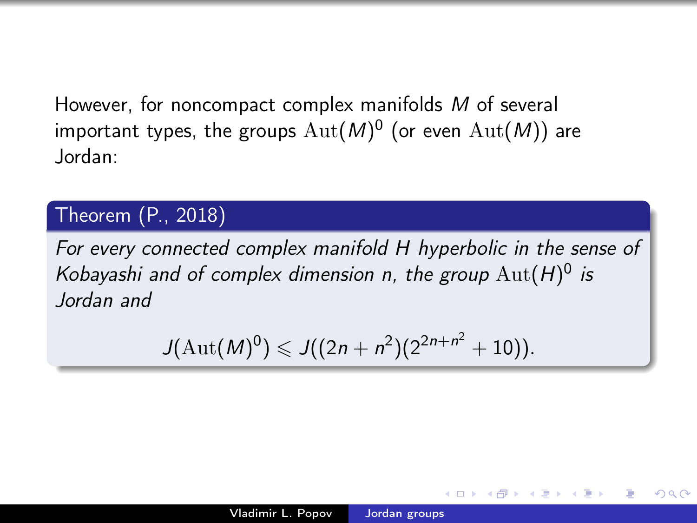However, for noncompact complex manifolds M of several important types, the groups  $\mathrm{Aut}(M)^0$  (or even  $\mathrm{Aut}(M))$  are Jordan:

### Theorem (P., 2018)

For every connected complex manifold H hyperbolic in the sense of Kobayashi and of complex dimension n, the group  $\mathrm{Aut}(H)^0$  is Jordan and

$$
J(\mathrm{Aut}(M)^0) \leqslant J((2n+n^2)(2^{2n+n^2}+10)).
$$

つくへ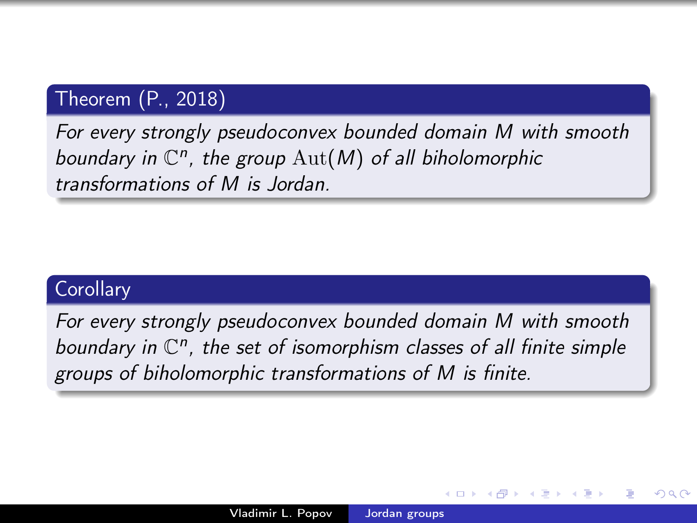## Theorem (P., 2018)

For every strongly pseudoconvex bounded domain M with smooth boundary in  $\mathbb{C}^n$ , the group  $\mathrm{Aut}(M)$  of all biholomorphic transformations of M is Jordan.

#### **Corollary**

<span id="page-50-0"></span>For every strongly pseudoconvex bounded domain M with smooth boundary in  $\mathbb{C}^n$ , the set of isomorphism classes of all finite simple groups of biholomorphic transformations of M is finite.